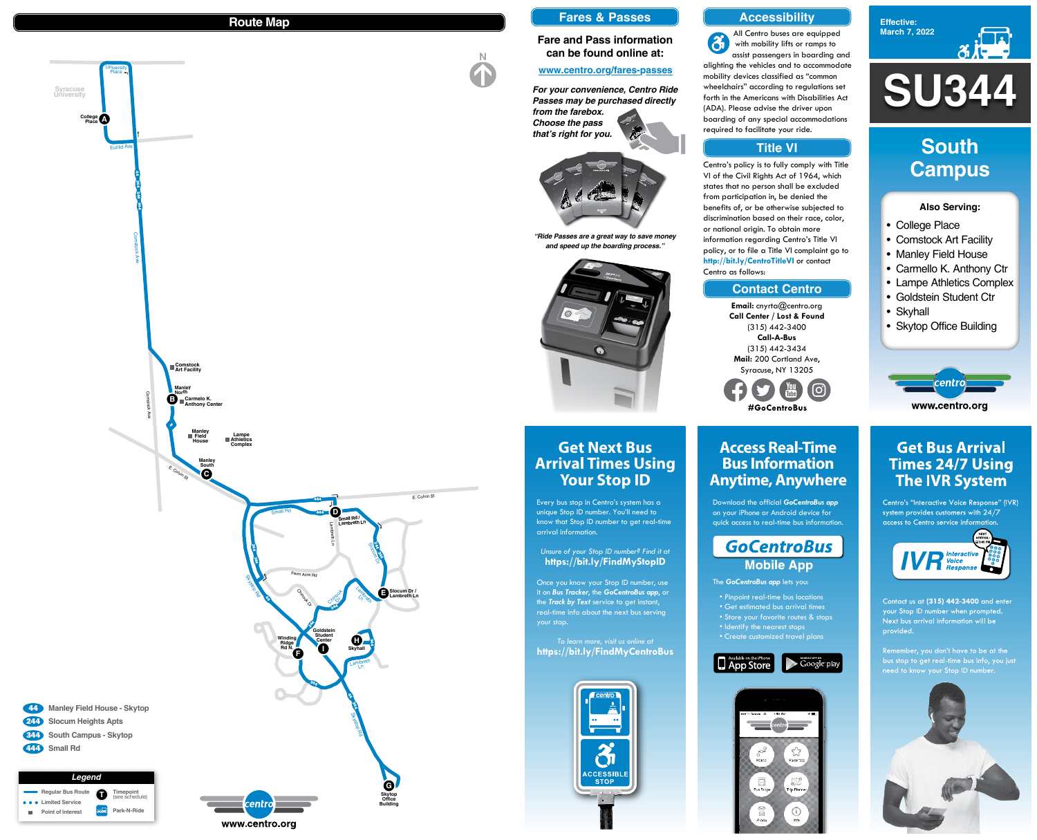

**Effective: March 7, 2022**



- College Place
- Comstock Art Facility
- Manley Field House
- Carmello K. Anthony Ctr
- Lampe Athletics Complex
- Goldstein Student Ctr
- Skyhall
- Skytop Office Building



# **Get Bus Arrival Times 24/7 Using The IVR System**

Centro's "Interactive Voice Response" (IVR) system provides customers with  $24/7$ access to Centro service information.



Contact us at (315) 442-3400 and enter your Stop ID number when prompted. Next bus arrival information will be provided.

Remember, you don't have to be at the bus stop to get real-time bus info, you just need to know your Stop ID number.



#### **Also Serving:**

# **South Campus**

# **Get Next Bus Arrival Times Using Your Stop ID**

Every bus stop in Centro's system has a unique Stop ID number. You'll need to know that Stop ID number to get real-time arrival information.

*Unsure of your Stop ID number? Find it at* **https://bit.ly/FindMyStopID**

Once you know your Stop ID number, use it on *Bus Tracker*, the *GoCentroBus app*, or the *Track by Text* service to get instant, real-time info about the next bus serving your stop.

*To learn more, visit us online at* **https://bit.ly/FindMyCentroBus**



# **Access Real-Time Bus Information Anytime, Anywhere**

Download the official *GoCentroBus app* on your iPhone or Android device for quick access to real-time bus information.

# **GoCentroBus Mobile App**

The *GoCentroBus app* lets you:

- Pinpoint real-time bus locations
- Get estimated bus arrival times
- Store your favorite routes & stops
- Identify the nearest stops
- Create customized travel plans





**Email:** cnyrta@centro.org **Call Center / Lost & Found** (315) 442-3400 **Call-A-Bus** (315) 442-3434 **Mail:** 200 Cortland Ave, Syracuse, NY 13205







### **Route Map**

## **Accessibility**

#### **Contact Centro**

### **Title VI**

All Centro buses are equipped  $\mathbf{G}$ with mobility lifts or ramps to assist passengers in boarding and alighting the vehicles and to accommodate mobility devices classified as "common wheelchairs" according to regulations set forth in the Americans with Disabilities Act (ADA). Please advise the driver upon

boarding of any special accommodations required to facilitate your ride.

Centro's policy is to fully comply with Title VI of the Civil Rights Act of 1964, which states that no person shall be excluded from participation in, be denied the benefits of, or be otherwise subjected to discrimination based on their race, color, or national origin. To obtain more information regarding Centro's Title VI policy, or to file a Title VI complaint go to **http://bit.ly/CentroTitleVI** or contact Centro as follows:

#### **Fares & Passes**

#### **Fare and Pass information can be found online at:**

#### **www.centro.org/fares-passes**

*"Ride Passes are a great way to save money and speed up the boarding process."*



*For your convenience, Centro Ride Passes may be purchased directly from the farebox. Choose the pass*

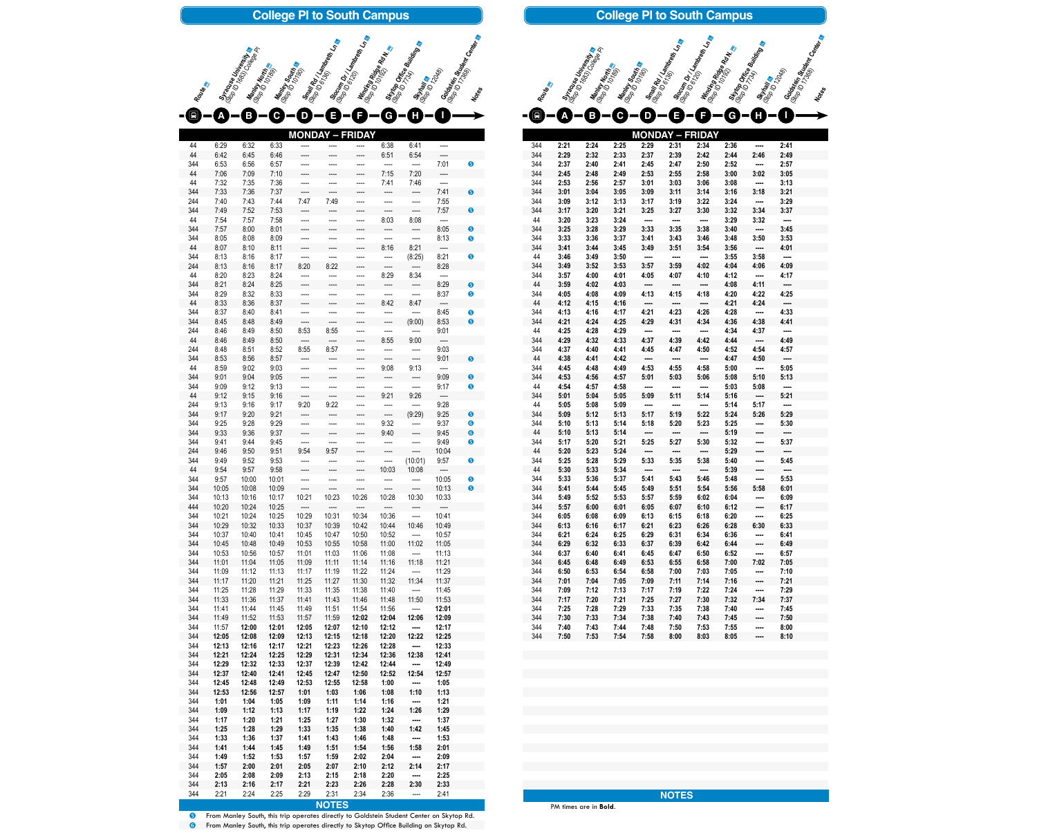| 344        | 2:21         | 2:24         | 2:25         | 2:29                     | 2:31                     | 2:34                     | 2:36         | -----                    | 2:41                     |
|------------|--------------|--------------|--------------|--------------------------|--------------------------|--------------------------|--------------|--------------------------|--------------------------|
| 344        | 2:29         | 2:32         | 2:33         | 2:37                     | 2:39                     | 2:42                     | 2:44         | 2:46                     | 2:49                     |
| 344        | 2:37         | 2:40         | 2:41         | 2:45                     | 2:47                     | 2:50                     | 2:52         | $\sim$                   | 2:57                     |
| 344        | 2:45         | 2:48         | 2:49         | 2:53                     | 2:55                     | 2:58                     | 3:00         | 3:02                     | 3:05                     |
| 344        | 2:53         | 2:56         | 2:57         | 3:01                     | 3:03                     | 3:06                     | 3:08         | $\overline{\phantom{a}}$ | 3:13                     |
| 344        | 3:01         | 3:04         | 3:05         | 3:09                     | 3:11                     | 3:14                     | 3:16         | 3:18                     | 3:21                     |
| 344        | 3:09         | 3:12         | 3:13         | 3:17                     | 3:19                     | 3:22                     | 3:24         | $\sim$                   | 3:29                     |
| 344        | 3:17         | 3:20         | 3:21         | 3:25                     | 3:27                     | 3:30                     | 3:32         | 3:34                     | 3:37                     |
| 44         | 3:20         | 3:23         | 3:24         | $\sim$                   | $\sim$                   | $\sim$                   | 3:29         | 3:32                     | ----                     |
| 344        | 3:25         | 3:28         | 3:29         | 3:33                     | 3:35                     | 3:38                     | 3:40         | $\sim$                   | 3:45                     |
| 344        | 3:33         | 3:36         | 3:37         | 3:41                     | 3:43                     | 3:46                     | 3:48         | 3:50                     | 3:53                     |
| 344        | 3:41         | 3:44         | 3:45         | 3:49                     | 3:51                     | 3:54                     | 3:56         | $\overline{\phantom{a}}$ | 4:01                     |
| 44         | 3:46         | 3:49         | 3:50         | $\sim$                   | $\sim$                   | $\sim$                   | 3:55         | 3:58                     | $\overline{\phantom{a}}$ |
| 344        | 3:49         | 3:52         | 3:53         | 3:57                     | 3:59                     | 4:02                     | 4:04         | 4:06                     | 4:09                     |
| 344        | 3:57         | 4:00         | 4:01         | 4:05                     | 4:07                     | 4:10                     | 4:12         | $\sim$ - $\sim$          | 4:17                     |
| 44         | 3:59         | 4:02         | 4:03         | $\sim$ 1000              | $\sim$                   | $\overline{\phantom{a}}$ | 4:08         | 4:11                     | $\sim$                   |
| 344        | 4:05         | 4:08         | 4:09         | 4:13                     | 4:15                     | 4:18                     | 4:20         | 4:22                     | 4.25                     |
| 44         | 4:12         | 4:15         | 4:16         | $\cdots$                 | $\sim$                   | $\sim$                   | 4:21         | 4:24                     | $\cdots$                 |
| 344        | 4:13         | 4:16         | 4:17         | 4.21                     | 4:23                     | 4:26                     | 4:28         | $\sim$                   | 4:33                     |
| 344        | 4:21         | 4:24         | 4.25         | 4:29                     | 4:31                     | 4:34                     | 4:36         | 4:38                     | 4.41                     |
| 44         | 4:25         | 4:28         | 4:29         | $\sim$                   | $\sim$                   | $\overline{\phantom{a}}$ | 4:34         | 4:37                     | $\overline{\phantom{a}}$ |
| 344        | 4:29         | 4:32         | 4:33         | 4:37                     | 4:39                     | 4:42                     | 4:44         | $\overline{\phantom{a}}$ | 4:49                     |
| 344        | 4:37         | 4:40         | 4:41         | 4:45                     | 4:47                     | 4:50                     | 4:52         | 4:54                     | 4:57                     |
| 44         | 4:38         | 4:41         | 4:42         | $\overline{\phantom{a}}$ | $\overline{\phantom{a}}$ | $\overline{\phantom{a}}$ | 4:47         | 4:50                     | $\overline{\phantom{a}}$ |
| 344        | 4:45         | 4:48         | 4:49         | 4:53                     | 4:55                     | 4:58                     | 5:00         | $\sim$                   | 5:05                     |
| 344        | 4:53         | 4:56         | 4:57         | 5:01                     | 5:03                     | 5:06                     | 5:08         | 5:10                     | 5:13                     |
| 44         | 4:54         | 4:57         | 4:58         | $\cdots$                 | $\cdots$                 | $\sim$                   | 5:03         | 5:08                     | ----                     |
| 344        | 5:01         | 5:04         | 5:05         | 5:09                     | 5:11                     | 5:14                     | 5:16         | $\overline{\phantom{a}}$ | 5:21                     |
| 44         | 5:05         | 5:08         | 5:09         | $\overline{\phantom{a}}$ | $\overline{\phantom{a}}$ | $\overline{\phantom{a}}$ | 5:14         | 5:17                     | ----                     |
| 344        | 5:09         | 5:12         | 5:13         | 5:17                     | 5:19                     | 5:22                     | 5:24         | 5:26                     | 5:29                     |
| 344        | 5:10         | 5:13         | 5:14         | 5:18                     | 5:20                     | 5:23                     | 5:25         | $\sim$ $\sim$ $\sim$     | 5:30                     |
| 44         | 5:10         | 5:13         | 5:14         | $\sim$ 1000              | $\mathbb{R}^n$           | $\overline{\phantom{a}}$ | 5:19         | $\overline{\phantom{a}}$ | ----                     |
| 344        | 5:17         | 5:20         | 5:21         | 5:25                     | 5:27                     | 5:30                     | 5:32         | $\sim$                   | 5:37                     |
| 44         |              | 5:23         | 5:24         |                          |                          |                          |              |                          |                          |
| 344        | 5:20<br>5:25 | 5:28         | 5:29         | ----<br>5:33             | ----<br>5:35             | ----<br>5:38             | 5:29<br>5:40 |                          | ----<br>5:45             |
| 44         | 5:30         | 5:33         |              |                          |                          |                          |              | ----                     |                          |
|            |              |              | 5:34         | ----                     | ----                     | ----                     | 5:39         | ----                     | ----<br>5:53             |
| 344<br>344 | 5:33<br>5:41 | 5:36<br>5:44 | 5:37<br>5:45 | 5:41                     | 5:43                     | 5:46                     | 5:48         | ----<br>5:58             |                          |
|            |              |              |              | 5:49                     | 5:51                     | 5:54                     | 5:56         |                          | 6:01                     |
| 344        | 5:49         | 5:52         | 5:53         | 5:57                     | 5:59                     | 6:02                     | 6:04         | ----                     | 6:09                     |
| 344        | 5:57         | 6:00         | 6:01         | 6:05                     | 6:07                     | 6:10                     | 6:12         | ----                     | 6:17                     |
| 344        | 6:05         | 6:08         | 6:09         | 6:13                     | 6:15                     | 6:18                     | 6:20         |                          | 6:25                     |
| 344        | 6:13         | 6:16         | 6:17         | 6:21                     | 6:23                     | 6:26                     | 6:28         | 6:30                     | 6:33                     |
| 344        | 6:21         | 6:24         | 6:25         | 6:29                     | 6:31                     | 6:34                     | 6:36         |                          | 6:41                     |
| 344        | 6:29         | 6:32         | 6:33         | 6:37                     | 6:39                     | 6:42                     | 6:44         | ----                     | 6:49                     |
| 344        | 6:37         | 6:40         | 6:41         | 6:45                     | 6:47                     | 6:50                     | 6:52         | $\cdots$                 | 6:57                     |
| 344        | 6:45         | 6:48         | 6:49         | 6:53                     | 6:55                     | 6:58                     | 7:00         | 7:02                     | 7:05                     |
| 344        | 6:50         | 6:53         | 6:54         | 6:58                     | 7:00                     | 7:03                     | 7:05         |                          | 7:10                     |
| 344        | 7:01         | 7:04         | 7:05         | 7:09                     | 7:11                     | 7:14                     | 7:16         |                          | 7:21                     |
| 344        | 7:09         | 7:12         | 7:13         | 7:17                     | 7:19                     | 7:22                     | 7:24         | ----                     | 7:29                     |
| 344        | 7:17         | 7:20         | 7:21         | 7:25                     | 7:27                     | 7:30                     | 7:32         | 7:34                     | 7:37                     |
| 344        | 7:25         | 7:28         | 7:29         | 7:33                     | 7:35                     | 7:38                     | 7:40         |                          | 7:45                     |
| 344        | 7:30         | 7:33         | 7:34         | 7:38                     | 7:40                     | 7:43                     | 7:45         |                          | 7:50                     |
| 344        | 7:40         | 7:43         | 7:44         | 7:48                     | 7:50                     | 7:53                     | 7:55         | ----                     | 8:00                     |
| 344        | 7:50         | 7:53         | 7:54         | 7:58                     | 8:00                     | 8:03                     | 8:05         | ----                     | 8:10                     |



**Slocum Dr / Ln am**<br>(Slop ID 612) Lambreth I<br>(S. Min. Lambreth Indian

**Winding Ridge Rd N.**<br>(Stop ID 101936 Rd N. 2019)<br>Structure

**Skytop Office Building**<br>(Scytop Office Building<br>Skythall Top III

Strawan Colorado

**Small Rd / Lambreth India**<br>(Stop ID 6136) <sup>Ma</sup>reth India<br>(St. Pour

Manley South 9

**Manley North**<br>(Stop IP 1018)<br>11 (1018)

**Stracuse University**<br>(Stop ID 1633) itersity<br>Mantey II

Route <sup>Re</sup>

 From Manley South, this trip operates directly to Goldstein Student Center on Skytop Rd. From Manley South, this trip operates directly to Skytop Office Building on Skytop Rd.

**MONDAY – FRIDAY Small Rd / Lambreth Ln &**<br>(Stop ID 6136) Motern Ln<br>(St. Potern Manley South 9 **Slocum Dr / Ln am**<br>(Slop ID 612) Lambreth I<br>(S. Min. L. L. Lambreth In am **Winding Ridge Rd N.**<br>(Stop ID 101936 Rd N. 2)<br>Street, Stop ID 112 **Soldstein Student Center**<br>(Stop ID 173689 av Center de Theories **E F Skytop Office Building**<br>(Scytop Building The Building **Stytan**<br>(St. **Vitan)**<br><sup>1204</sup>8) **G H I College Pl to South Campus**

| $\begin{smallmatrix} \blacksquare \end{smallmatrix}$ |                | Β              |                | $\mathbf{C} = \mathbf{D}$ |                | E) - (3) — (           | $G =$                                        |                                   |                          |           |
|------------------------------------------------------|----------------|----------------|----------------|---------------------------|----------------|------------------------|----------------------------------------------|-----------------------------------|--------------------------|-----------|
|                                                      |                |                |                |                           |                |                        |                                              |                                   |                          |           |
|                                                      |                |                |                |                           |                | <b>MONDAY - FRIDAY</b> |                                              |                                   |                          |           |
| 44                                                   | 6:29           | 6:32           | 6:33           |                           |                |                        | 6:38                                         | 6:41                              | ----                     |           |
| 44                                                   | 6:42           | 6:45           | 6:46           | ----                      |                | ----                   | 6:51                                         | 6:54                              | ----                     |           |
| 344<br>44                                            | 6:53<br>7:06   | 6:56<br>7:09   | 6:57<br>7:10   | ----<br>----              |                |                        | ----<br>7:15                                 | ----<br>7:20                      | 7:01<br>----             | 6         |
| 44                                                   | 7:32           | 7:35           | 7:36           | ----                      | ----           | ----<br>----           | 7:41                                         | 7:46                              | ----                     |           |
| 344                                                  | 7:33           | 7:36           | 7:37           | ----                      | ----           | ----                   |                                              | ----                              | 7:41                     | €         |
| 244                                                  | 7:40           | 7:43           | 7:44           | 7:47                      | 7:49           |                        |                                              | ----                              | 7:55                     |           |
| 344                                                  | 7:49           | 7:52           | 7:53           | ----                      |                |                        |                                              | ----                              | 7:57                     | 6         |
| 44                                                   | 7:54           | 7:57           | 7:58           | ----                      |                | ----                   | 8:03                                         | 8:08                              | ----                     |           |
| 344                                                  | 7:57           | 8:00           | 8:01           | ----                      |                |                        |                                              | ----                              | 8:05                     | ❺         |
| 344                                                  | 8:05           | 8:08           | 8:09           | ----                      |                |                        |                                              | ----                              | 8:13                     | 6         |
| 44                                                   | 8:07           | 8:10           | 8:11           | ----                      |                | ----                   | 8:16                                         | 8:21                              | ----                     |           |
| 344                                                  | 8:13           | 8:16           | 8:17           | ----                      | ----           | ----                   | ----                                         | (8:25)                            | 8:21                     | ❺         |
| 244<br>44                                            | 8:13<br>8:20   | 8:16<br>8:23   | 8:17<br>8:24   | 8:20                      | 8:22           | ----                   | ----<br>8:29                                 | ----<br>8:34                      | 8:28<br>----             |           |
| 344                                                  | 8:21           | 8:24           | 8:25           | ----<br>----              |                | ----                   |                                              | ----                              | 8:29                     | ❺         |
| 344                                                  | 8:29           | 8:32           | 8:33           | ----                      |                |                        |                                              | ----                              | 8:37                     | 6         |
| 44                                                   | 8:33           | 8:36           | 8:37           | ----                      |                | ----                   | 8:42                                         | 8:47                              | ----                     |           |
| 344                                                  | 8:37           | 8:40           | 8:41           | ----                      | ----           | ----                   | ----                                         | ----                              | 8:45                     | $\bullet$ |
| 344                                                  | 8:45           | 8:48           | 8:49           | ----                      | ----           | ----                   | ----                                         | (9:00)                            | 8:53                     | $\bullet$ |
| 244                                                  | 8:46           | 8:49           | 8:50           | 8:53                      | 8:55           | ----                   |                                              | ----                              | 9:01                     |           |
| 44                                                   | 8:46           | 8:49           | 8:50           | ----                      | ----           | ----                   | 8:55                                         | 9:00                              | ----                     |           |
| 244                                                  | 8:48           | 8:51           | 8:52           | 8:55                      | 8:57           |                        |                                              | ----                              | 9:03                     |           |
| 344                                                  | 8:53           | 8:56           | 8:57           | ----                      |                |                        |                                              | ----                              | 9:01                     | 6         |
| 44                                                   | 8:59           | 9:02           | 9:03           | ----                      |                | ----                   | 9:08                                         | 9:13                              | ----                     |           |
| 344                                                  | 9:01           | 9:04           | 9:05           | ----                      |                | ----                   |                                              | ----                              | 9:09                     | €         |
| 344                                                  | 9:09<br>9:12   | 9:12<br>9:15   | 9:13<br>9:16   | ----                      |                |                        | 9:21                                         | ----<br>9:26                      | 9:17                     | ❺         |
| 44<br>244                                            | 9:13           | 9:16           | 9:17           | ----<br>9:20              | ----<br>9:22   | ----<br>----           |                                              | ----                              | ----<br>9:28             |           |
| 344                                                  | 9:17           | 9:20           | 9:21           |                           |                |                        |                                              | (9:29)                            | 9:25                     | 6         |
| 344                                                  | 9:25           | 9:28           | 9:29           |                           |                |                        | 9:32                                         | ----                              | 9:37                     | $\bullet$ |
| 344                                                  | 9:33           | 9:36           | 9:37           | ----                      |                | ----                   | 9:40                                         | ----                              | 9:45                     | $\bullet$ |
| 344                                                  | 9:41           | 9:44           | 9:45           | ----                      | ----           | ----                   |                                              | ----                              | 9:49                     | ❺         |
| 244                                                  | 9:46           | 9:50           | 9:51           | 9:54                      | 9:57           | ----                   | ----                                         | $\overline{\phantom{a}}$          | 10:04                    |           |
| 344                                                  | 9:49           | 9:52           | 9:53           | ----                      | ----           | ----                   | ----                                         | (10:01)                           | 9:57                     | 6         |
| 44                                                   | 9:54           | 9:57           | 9:58           | ----                      |                | ----                   | 10:03                                        | 10:08                             | $\overline{\phantom{a}}$ |           |
| 344                                                  | 9:57           | 10:00          | 10:01          | ----                      | ----           | ----                   | ----                                         | $\cdots$                          | 10:05                    | ❺         |
| 344<br>344                                           | 10:05<br>10:13 | 10:08<br>10:16 | 10:09<br>10:17 | ----<br>10:21             | ----<br>10:23  | ----<br>10:26          | ----<br>10:28                                | $\overline{\phantom{a}}$<br>10:30 | 10:13<br>10:33           | €         |
| 444                                                  | 10:20          | 10:24          | 10:25          | ----                      |                | ----                   | $\hspace{1.5cm} \textbf{---} \hspace{1.5cm}$ |                                   | $\hspace{0.05cm}---$     |           |
| 344                                                  | 10:21          | 10:24          | 10:25          | 10:29                     | ----<br>10:31  | 10:34                  | 10:36                                        | ----<br>$\overline{\phantom{a}}$  | 10:41                    |           |
| 344                                                  | 10:29          | 10:32          | 10:33          | 10:37                     | 10:39          | 10:42                  | 10:44                                        | 10:46                             | 10:49                    |           |
| 344                                                  | 10:37          | 10:40          | 10:41          | 10:45                     | 10:47          | 10:50                  | 10:52                                        | $\sim$                            | 10:57                    |           |
| 344                                                  | 10:45          | 10:48          | 10:49          | 10:53                     | 10:55          | 10:58                  | 11:00                                        | 11:02                             | 11:05                    |           |
| 344                                                  | 10:53          | 10:56          | 10:57          | 11:01                     | 11:03          | 11:06                  | 11:08                                        | $\cdots$                          | 11:13                    |           |
| 344                                                  | 11:01          | 11:04          | 11:05          | 11:09                     | 11:11          | 11:14                  | 11:16                                        | 11:18                             | 11:21                    |           |
| 344                                                  | 11:09          | 11:12          | 11:13          | 11:17                     | 11:19          | 11:22                  | 11:24                                        | $\overline{\phantom{a}}$          | 11:29                    |           |
| 344                                                  | 11:17          | 11:20          | 11:21          | 11:25                     | 11:27          | 11:30                  | 11:32                                        | 11:34                             | 11:37                    |           |
| 344                                                  | 11:25          | 11:28          | 11:29<br>11:37 | 11:33<br>11:41            | 11:35          | 11:38                  | 11:40<br>11:48                               | $\cdots$                          | 11:45<br>11:53           |           |
| 344<br>344                                           | 11:33<br>11:41 | 11:36<br>11:44 | 11:45          | 11:49                     | 11:43<br>11:51 | 11:46<br>11:54         | 11:56                                        | 11:50<br>$\sim$                   | 12:01                    |           |
| 344                                                  | 11:49          | 11:52          | 11:53          | 11:57                     | 11:59          | 12:02                  | 12:04                                        | 12:06                             | 12:09                    |           |
| 344                                                  | 11:57          | 12:00          | 12:01          | 12:05                     | 12:07          | 12:10                  | 12:12                                        |                                   | 12:17                    |           |
| 344                                                  | 12:05          | 12:08          | 12:09          | 12:13                     | 12:15          | 12:18                  | 12:20                                        | 12:22                             | 12:25                    |           |
| 344                                                  | 12:13          | 12:16          | 12:17          | 12:21                     | 12:23          | 12:26                  | 12:28                                        | $\cdots$                          | 12:33                    |           |
| 344                                                  | 12:21          | 12:24          | 12:25          | 12:29                     | 12:31          | 12:34                  | 12:36                                        | 12:38                             | 12:41                    |           |
| 344                                                  | 12:29          | 12:32          | 12:33          | 12:37                     | 12:39          | 12:42                  | 12:44                                        | $\cdots$                          | 12:49                    |           |
| 344                                                  | 12:37          | 12:40          | 12:41          | 12:45                     | 12:47          | 12:50                  | 12:52                                        | 12:54                             | 12:57                    |           |
| 344                                                  | 12:45          | 12:48          | 12:49          | 12:53                     | 12:55          | 12:58                  | 1:00                                         | $\cdots$                          | 1:05                     |           |
| 344                                                  | 12:53          | 12:56          | 12:57<br>1:05  | 1:01                      | 1:03           | 1:06                   | 1:08                                         | 1:10                              | 1:13<br>1:21             |           |
| 344<br>344                                           | 1:01<br>1:09   | 1:04<br>1:12   | 1:13           | 1:09<br>1:17              | 1:11<br>1:19   | 1:14<br>1:22           | 1:16<br>1:24                                 | ----<br>1:26                      | 1:29                     |           |
| 344                                                  | 1:17           | 1:20           | 1:21           | 1:25                      | 1:27           | 1:30                   | 1:32                                         |                                   | 1:37                     |           |
| 344                                                  | 1:25           | 1:28           | 1:29           | 1:33                      | 1:35           | 1:38                   | 1:40                                         | 1:42                              | 1:45                     |           |
| 344                                                  | 1:33           | 1:36           | 1:37           | 1:41                      | 1:43           | 1:46                   | 1:48                                         |                                   | 1:53                     |           |
| 344                                                  | 1:41           | 1:44           | 1:45           | 1:49                      | 1:51           | 1:54                   | 1:56                                         | 1:58                              | 2:01                     |           |
| 344                                                  | 1:49           | 1:52           | 1:53           | 1:57                      | 1:59           | 2:02                   | 2:04                                         | ----                              | 2:09                     |           |
| 344                                                  | 1:57           | 2:00           | 2:01           | 2:05                      | 2:07           | 2:10                   | 2:12                                         | 2:14                              | 2:17                     |           |
| 344                                                  | 2:05           | 2:08           | 2:09           | 2:13                      | 2:15           | 2:18                   | 2:20                                         |                                   | 2:25                     |           |
| 344                                                  | 2:13           | 2:16           | 2:17           | 2:21                      | 2:23           | 2:26                   | 2:28                                         | 2:30                              | 2:33                     |           |
| 344                                                  | 2:21           | 2:24           | 2:25           | 2:29                      | 2:31           | 2:34                   | 2:36                                         | ----                              | 2:41                     |           |
|                                                      |                |                |                |                           | <b>NOTES</b>   |                        |                                              |                                   |                          |           |

**Notes**

**Goldstein Student Center**<br>(Stop 10 17368 ant Center

PM times are in **Bold**.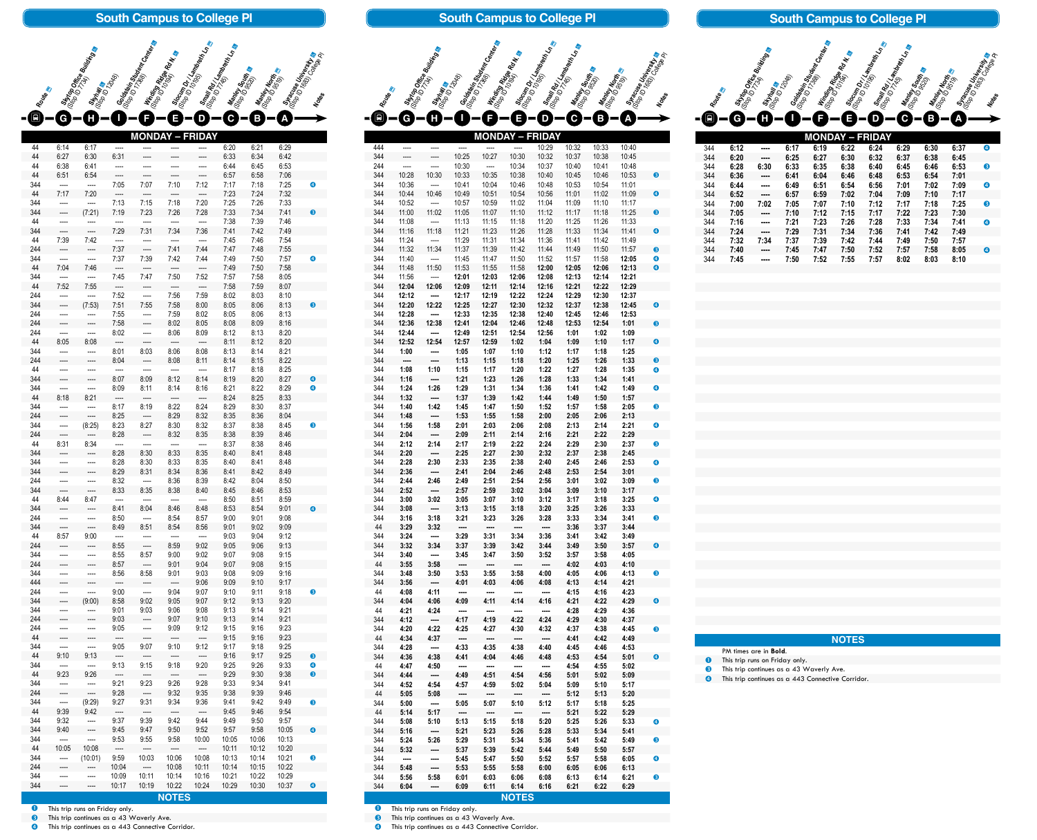| <b>South Campus to College PI</b> |                                                                                                                                                                                                                                                                                                                                                                                                                                                                                                        |                                                                                                                                                                                                                                                                                                                                                                                                                                                                                                        |                                                                                                        |                                       |                                  |                                                                |                                                           |                     |                |                       |
|-----------------------------------|--------------------------------------------------------------------------------------------------------------------------------------------------------------------------------------------------------------------------------------------------------------------------------------------------------------------------------------------------------------------------------------------------------------------------------------------------------------------------------------------------------|--------------------------------------------------------------------------------------------------------------------------------------------------------------------------------------------------------------------------------------------------------------------------------------------------------------------------------------------------------------------------------------------------------------------------------------------------------------------------------------------------------|--------------------------------------------------------------------------------------------------------|---------------------------------------|----------------------------------|----------------------------------------------------------------|-----------------------------------------------------------|---------------------|----------------|-----------------------|
|                                   |                                                                                                                                                                                                                                                                                                                                                                                                                                                                                                        |                                                                                                                                                                                                                                                                                                                                                                                                                                                                                                        |                                                                                                        |                                       |                                  |                                                                |                                                           |                     |                |                       |
|                                   |                                                                                                                                                                                                                                                                                                                                                                                                                                                                                                        | I Styte Office Building                                                                                                                                                                                                                                                                                                                                                                                                                                                                                |                                                                                                        | Salastein Student Genter              | I Minding Ridge Rey,             | Socim Dr. Isambeth India                                       | I Small Rdy<br><sup>OGD II</sup> TXL amp <sub>rompt</sub> |                     |                | I Syracuse University |
| Routes                            |                                                                                                                                                                                                                                                                                                                                                                                                                                                                                                        | Strian &<br><sup>(Siran</sup> ia &                                                                                                                                                                                                                                                                                                                                                                                                                                                                     |                                                                                                        |                                       |                                  |                                                                | I Rantey South &                                          | <b>Mantey North</b> |                |                       |
|                                   | c                                                                                                                                                                                                                                                                                                                                                                                                                                                                                                      |                                                                                                                                                                                                                                                                                                                                                                                                                                                                                                        |                                                                                                        |                                       |                                  |                                                                |                                                           |                     |                |                       |
|                                   |                                                                                                                                                                                                                                                                                                                                                                                                                                                                                                        |                                                                                                                                                                                                                                                                                                                                                                                                                                                                                                        |                                                                                                        | <b>MONDA</b>                          |                                  | <b>DAY</b><br><b>FRI</b>                                       |                                                           |                     |                |                       |
| 44                                | 6:14                                                                                                                                                                                                                                                                                                                                                                                                                                                                                                   | 6:17                                                                                                                                                                                                                                                                                                                                                                                                                                                                                                   |                                                                                                        |                                       |                                  |                                                                | 6:20                                                      | 6:21                | 6:29           |                       |
| 44<br>44                          | 6:27<br>6:38                                                                                                                                                                                                                                                                                                                                                                                                                                                                                           | 6:30<br>6:41                                                                                                                                                                                                                                                                                                                                                                                                                                                                                           | 6:31                                                                                                   |                                       |                                  |                                                                | 6:33<br>6:44                                              | 6:34<br>6:45        | 6:42<br>6:53   |                       |
| 44<br>344                         | 6:51                                                                                                                                                                                                                                                                                                                                                                                                                                                                                                   | 6:54                                                                                                                                                                                                                                                                                                                                                                                                                                                                                                   | 7:05                                                                                                   | 7:07                                  | 7:10                             | 7:12                                                           | 6:57                                                      | 6:58<br>7:18        | 7:06<br>7:25   | $\bf{Q}$              |
| 44                                | 7:17                                                                                                                                                                                                                                                                                                                                                                                                                                                                                                   | 7:20                                                                                                                                                                                                                                                                                                                                                                                                                                                                                                   |                                                                                                        |                                       |                                  |                                                                | 7:17<br>7:23                                              | 7:24                | 7:32           |                       |
| 344<br>344                        |                                                                                                                                                                                                                                                                                                                                                                                                                                                                                                        | (7:21)                                                                                                                                                                                                                                                                                                                                                                                                                                                                                                 | 7:13<br>7:19                                                                                           | 7:15<br>7:23                          | 7:18<br>7:26                     | 7:20<br>7:28                                                   | 7:25<br>7:33                                              | 7:26<br>7:34        | 7:33<br>7:41   | ❸                     |
| 44                                |                                                                                                                                                                                                                                                                                                                                                                                                                                                                                                        |                                                                                                                                                                                                                                                                                                                                                                                                                                                                                                        |                                                                                                        |                                       |                                  |                                                                | 7:38                                                      | 7:39                | 7:46           |                       |
| 344<br>44                         | 7:39                                                                                                                                                                                                                                                                                                                                                                                                                                                                                                   | 7:42                                                                                                                                                                                                                                                                                                                                                                                                                                                                                                   | 7:29                                                                                                   | 7:31                                  | 7:34                             | 7:36                                                           | 7:41<br>7:45                                              | 7:42<br>7:46        | 7:49<br>7:54   |                       |
| 244                               |                                                                                                                                                                                                                                                                                                                                                                                                                                                                                                        |                                                                                                                                                                                                                                                                                                                                                                                                                                                                                                        | 7:37                                                                                                   | ----                                  | 7:41                             | 7:44                                                           | 7:47                                                      | 7:48                | 7:55           |                       |
| 344<br>44                         | 7:04                                                                                                                                                                                                                                                                                                                                                                                                                                                                                                   | 7:46                                                                                                                                                                                                                                                                                                                                                                                                                                                                                                   | 7:37                                                                                                   | 7:39                                  | 7:42                             | 7:44                                                           | 7:49<br>7:49                                              | 7:50<br>7:50        | 7:57<br>7:58   | ❹                     |
| 344                               |                                                                                                                                                                                                                                                                                                                                                                                                                                                                                                        |                                                                                                                                                                                                                                                                                                                                                                                                                                                                                                        | 7:45                                                                                                   | 7:47                                  | 7:50                             | 7:52                                                           | 7:57                                                      | 7:58                | 8:05           |                       |
| 44<br>244                         | 7:52                                                                                                                                                                                                                                                                                                                                                                                                                                                                                                   | 7:55                                                                                                                                                                                                                                                                                                                                                                                                                                                                                                   | 7:52                                                                                                   |                                       | 7:56                             | 7:59                                                           | 7:58<br>8:02                                              | 7:59<br>8:03        | 8:07<br>8:10   |                       |
| 344                               |                                                                                                                                                                                                                                                                                                                                                                                                                                                                                                        | (7:53)                                                                                                                                                                                                                                                                                                                                                                                                                                                                                                 | 7:51                                                                                                   | 7:55                                  | 7:58                             | 8:00                                                           | 8:05                                                      | 8:06                | 8:13           | ❸                     |
| 244<br>244                        |                                                                                                                                                                                                                                                                                                                                                                                                                                                                                                        | $\cdots$                                                                                                                                                                                                                                                                                                                                                                                                                                                                                               | 7:55<br>7:58                                                                                           | ----<br>$\overline{\phantom{a}}$      | 7:59<br>8:02                     | 8:02<br>8:05                                                   | 8:05<br>8:08                                              | 8:06<br>8:09        | 8:13<br>8:16   |                       |
| 244                               | $\cdots$                                                                                                                                                                                                                                                                                                                                                                                                                                                                                               | $\overline{a}$                                                                                                                                                                                                                                                                                                                                                                                                                                                                                         | 8:02                                                                                                   | $\cdots$                              | 8:06                             | 8:09                                                           | 8:12                                                      | 8:13                | 8:20           |                       |
| 44<br>344                         | 8:05<br>$\cdots$                                                                                                                                                                                                                                                                                                                                                                                                                                                                                       | 8:08<br>$\overline{\phantom{a}}$                                                                                                                                                                                                                                                                                                                                                                                                                                                                       | $\overline{\phantom{a}}$<br>8:01                                                                       | $\hspace{1.5cm} \textbf{---}$<br>8:03 | $\overline{\phantom{a}}$<br>8:06 | $\overline{\phantom{a}}$<br>8:08                               | 8:11<br>8:13                                              | 8:12<br>8:14        | 8:20<br>8:21   |                       |
| 244                               | $\overline{\phantom{a}}$                                                                                                                                                                                                                                                                                                                                                                                                                                                                               | $\overline{\phantom{a}}$                                                                                                                                                                                                                                                                                                                                                                                                                                                                               | 8:04<br>$\overline{\phantom{a}}$                                                                       | $\cdots$                              | 8:08                             | 8:11                                                           | 8:14                                                      | 8:15                | 8:22           |                       |
| 44<br>344                         | $\cdots$<br>$\overline{\phantom{a}}$                                                                                                                                                                                                                                                                                                                                                                                                                                                                   | ----<br>----                                                                                                                                                                                                                                                                                                                                                                                                                                                                                           | 8:07                                                                                                   | $\cdots$<br>8:09                      | $\cdots$<br>8:12                 | $\frac{1}{2} \frac{1}{2} \left( \frac{1}{2} \right)^2$<br>8:14 | 8:17<br>8:19                                              | 8:18<br>8:20        | 8:25<br>8:27   | ❹                     |
| 344<br>44                         | $\cdots$                                                                                                                                                                                                                                                                                                                                                                                                                                                                                               | $\sim$                                                                                                                                                                                                                                                                                                                                                                                                                                                                                                 | 8:09                                                                                                   | 8:11                                  | 8:14                             | 8:16                                                           | 8:21                                                      | 8:22                | 8:29           | $\bullet$             |
| 344                               | 8:18<br>$\overline{\phantom{a}}$                                                                                                                                                                                                                                                                                                                                                                                                                                                                       | 8:21<br>$\frac{1}{2}$                                                                                                                                                                                                                                                                                                                                                                                                                                                                                  | $\overline{\phantom{a}}$<br>8:17                                                                       | $\sim$<br>8:19                        | $\overline{\phantom{a}}$<br>8:22 | $---$<br>8:24                                                  | 8:24<br>8:29                                              | 8:25<br>8:30        | 8:33<br>8:37   |                       |
| 244<br>344                        | ----                                                                                                                                                                                                                                                                                                                                                                                                                                                                                                   | $\overline{\phantom{a}}$                                                                                                                                                                                                                                                                                                                                                                                                                                                                               | 8:25                                                                                                   | -----<br>8:27                         | 8:29                             | 8:32                                                           | 8:35<br>8:37                                              | 8:36                | 8:04           |                       |
| 244                               | $\overline{\phantom{a}}$<br>$\overline{\phantom{a}}$                                                                                                                                                                                                                                                                                                                                                                                                                                                   | (8:25)<br>$\overline{\phantom{a}}$                                                                                                                                                                                                                                                                                                                                                                                                                                                                     | 8:23<br>8:28                                                                                           | $\frac{1}{2}$                         | 8:30<br>8:32                     | 8:32<br>8:35                                                   | 8:38                                                      | 8:38<br>8:39        | 8:45<br>8:46   | ❸                     |
| 44<br>344                         | 8:31<br>$\cdots$                                                                                                                                                                                                                                                                                                                                                                                                                                                                                       | 8:34<br>$\overline{\phantom{a}}$                                                                                                                                                                                                                                                                                                                                                                                                                                                                       | $\overline{\phantom{a}}$<br>8:28                                                                       | $\overline{\phantom{a}}$<br>8:30      | $\overline{\phantom{a}}$<br>8:33 | $\frac{1}{2}$<br>8:35                                          | 8:37<br>8:40                                              | 8:38<br>8:41        | 8:46<br>8:48   |                       |
| 344                               | $\cdots$                                                                                                                                                                                                                                                                                                                                                                                                                                                                                               | $\sim$                                                                                                                                                                                                                                                                                                                                                                                                                                                                                                 | 8:28                                                                                                   | 8:30                                  | 8:33                             | 8:35                                                           | 8:40                                                      | 8:41                | 8:48           |                       |
| 344<br>244                        | $\overline{\phantom{a}}$<br>----                                                                                                                                                                                                                                                                                                                                                                                                                                                                       | $\overline{\phantom{a}}$<br>----                                                                                                                                                                                                                                                                                                                                                                                                                                                                       | 8:29<br>8:32                                                                                           | 8:31<br>$\overline{\phantom{a}}$      | 8:34<br>8:36                     | 8:36<br>8:39                                                   | 8:41<br>8:42                                              | 8:42<br>8:04        | 8:49<br>8:50   |                       |
| 344                               | $\cdots$                                                                                                                                                                                                                                                                                                                                                                                                                                                                                               | $\overline{\phantom{a}}$                                                                                                                                                                                                                                                                                                                                                                                                                                                                               | 8:33                                                                                                   | 8:35                                  | 8:38                             | 8:40                                                           | 8:45                                                      | 8:46                | 8:53           |                       |
| 44<br>344                         | 8:44<br>$\sim$                                                                                                                                                                                                                                                                                                                                                                                                                                                                                         | 8:47<br>$\sim$ $\sim$                                                                                                                                                                                                                                                                                                                                                                                                                                                                                  | $\overline{\phantom{a}}$<br>8:41                                                                       | $\sim$ $\sim$ $\sim$<br>8:04          | $\cdots$<br>8:46                 | $\cdots$<br>8:48                                               | 8:50<br>8:53                                              | 8:51<br>8:54        | 8:59<br>9:01   | $\bullet$             |
| 244                               | $\cdots$                                                                                                                                                                                                                                                                                                                                                                                                                                                                                               | $\overline{\phantom{a}}$                                                                                                                                                                                                                                                                                                                                                                                                                                                                               | 8:50                                                                                                   | $\overline{\phantom{a}}$              | 8:54                             | 8:57                                                           | 9:00                                                      | 9:01                | 9:08           |                       |
| 344<br>44                         | $\overline{\phantom{a}}$<br>8:57                                                                                                                                                                                                                                                                                                                                                                                                                                                                       | $\overline{\phantom{a}}$<br>9:00                                                                                                                                                                                                                                                                                                                                                                                                                                                                       | 8:49<br>$\frac{1}{2} \left( \frac{1}{2} \right) \left( \frac{1}{2} \right) \left( \frac{1}{2} \right)$ | 8:51<br>$\sim$ $\sim$                 | 8:54<br>$\cdots$                 | 8:56<br>$\frac{1}{2}$                                          | 9:01<br>9:03                                              | 9:02<br>9:04        | 9:09<br>9:12   |                       |
| 244                               | $\cdots$                                                                                                                                                                                                                                                                                                                                                                                                                                                                                               | ----                                                                                                                                                                                                                                                                                                                                                                                                                                                                                                   | 8:55                                                                                                   | $---$                                 | 8:59                             | 9:02                                                           | 9:05                                                      | 9:06                | 9:13           |                       |
| 344<br>244                        | $\overline{\phantom{a}}$<br>----                                                                                                                                                                                                                                                                                                                                                                                                                                                                       | ----<br>----                                                                                                                                                                                                                                                                                                                                                                                                                                                                                           | 8:55<br>8:57                                                                                           | 8:57<br>$\overline{\phantom{a}}$      | 9:00<br>9:01                     | 9:02<br>9:04                                                   | 9:07<br>9:07                                              | 9:08<br>9:08        | 9:15<br>9:15   |                       |
| 344                               | $\cdots$                                                                                                                                                                                                                                                                                                                                                                                                                                                                                               | $\sim$                                                                                                                                                                                                                                                                                                                                                                                                                                                                                                 | 8:56                                                                                                   | 8:58                                  | 9:01                             | 9:03                                                           | 9:08                                                      | 9:09                | 9:16           |                       |
| 444<br>244                        | ----<br>$\cdots$                                                                                                                                                                                                                                                                                                                                                                                                                                                                                       | $\overline{\phantom{a}}$<br>$\overline{\phantom{a}}$                                                                                                                                                                                                                                                                                                                                                                                                                                                   | $\overline{\phantom{a}}$<br>9:00                                                                       | $\cdots$<br>$\overline{\phantom{a}}$  | $\sim$<br>9:04                   | 9:06<br>9:07                                                   | 9:09<br>9:10                                              | 9:10<br>9:11        | 9:17<br>9:18   | ❸                     |
| 344                               | $\frac{1}{2}$                                                                                                                                                                                                                                                                                                                                                                                                                                                                                          | (9:00)                                                                                                                                                                                                                                                                                                                                                                                                                                                                                                 | 8:58                                                                                                   | 9:02                                  | 9:05                             | 9:07                                                           | 9:12                                                      | 9:13                | 9:20           |                       |
| 344<br>244                        | $\frac{1}{2} \left( \frac{1}{2} \right) \left( \frac{1}{2} \right) \left( \frac{1}{2} \right) \left( \frac{1}{2} \right) \left( \frac{1}{2} \right) \left( \frac{1}{2} \right) \left( \frac{1}{2} \right) \left( \frac{1}{2} \right) \left( \frac{1}{2} \right) \left( \frac{1}{2} \right) \left( \frac{1}{2} \right) \left( \frac{1}{2} \right) \left( \frac{1}{2} \right) \left( \frac{1}{2} \right) \left( \frac{1}{2} \right) \left( \frac{1}{2} \right) \left( \frac$<br>$\overline{\phantom{a}}$ | $\frac{1}{2} \left( \frac{1}{2} \right) \left( \frac{1}{2} \right) \left( \frac{1}{2} \right) \left( \frac{1}{2} \right) \left( \frac{1}{2} \right) \left( \frac{1}{2} \right) \left( \frac{1}{2} \right) \left( \frac{1}{2} \right) \left( \frac{1}{2} \right) \left( \frac{1}{2} \right) \left( \frac{1}{2} \right) \left( \frac{1}{2} \right) \left( \frac{1}{2} \right) \left( \frac{1}{2} \right) \left( \frac{1}{2} \right) \left( \frac{1}{2} \right) \left( \frac$<br>$\overline{\phantom{a}}$ | 9:01<br>9:03                                                                                           | 9:03<br>$\overline{\phantom{a}}$      | 9:06<br>9:07                     | 9:08<br>9:10                                                   | 9:13<br>9:13                                              | 9:14<br>9:14        | 9:21<br>9:21   |                       |
| 244                               |                                                                                                                                                                                                                                                                                                                                                                                                                                                                                                        |                                                                                                                                                                                                                                                                                                                                                                                                                                                                                                        | 9:05                                                                                                   |                                       | 9:09                             | 9:12                                                           | 9:15                                                      | 9:16                | 9:23           |                       |
| 44<br>344                         | ----                                                                                                                                                                                                                                                                                                                                                                                                                                                                                                   | ----                                                                                                                                                                                                                                                                                                                                                                                                                                                                                                   | ----<br>9:05                                                                                           | 9:07                                  | ----<br>9:10                     | $\overline{\phantom{a}}$<br>9:12                               | 9:15<br>9:17                                              | 9:16<br>9:18        | 9:23<br>9:25   |                       |
| 44                                | 9:10                                                                                                                                                                                                                                                                                                                                                                                                                                                                                                   | 9:13                                                                                                                                                                                                                                                                                                                                                                                                                                                                                                   | $\overline{a}$                                                                                         | ----                                  | ----                             | ----                                                           | 9:16                                                      | 9:17                | 9:25           | ❸                     |
| 344<br>44                         | ----<br>9:23                                                                                                                                                                                                                                                                                                                                                                                                                                                                                           | ----<br>9:26                                                                                                                                                                                                                                                                                                                                                                                                                                                                                           | 9:13<br>$\overline{\phantom{a}}$                                                                       | 9:15<br>----                          | 9:18<br>----                     | 9:20<br>$\overline{\phantom{a}}$                               | 9:25<br>9:29                                              | 9:26<br>9:30        | 9:33<br>9:38   | $\bullet$<br>€        |
| 344<br>244                        | ----                                                                                                                                                                                                                                                                                                                                                                                                                                                                                                   | ----<br>----                                                                                                                                                                                                                                                                                                                                                                                                                                                                                           | 9:21<br>9:28                                                                                           | 9:23<br>$\overline{\phantom{a}}$      | 9:26<br>9:32                     | 9:28<br>9:35                                                   | 9:33<br>9:38                                              | 9:34<br>9:39        | 9:41<br>9:46   |                       |
| 344                               | ----                                                                                                                                                                                                                                                                                                                                                                                                                                                                                                   | (9:29)                                                                                                                                                                                                                                                                                                                                                                                                                                                                                                 | 9:27                                                                                                   | 9:31                                  | 9:34                             | 9:36                                                           | 9:41                                                      | 9:42                | 9:49           | ❸                     |
| 44<br>344                         | 9:39<br>9:32                                                                                                                                                                                                                                                                                                                                                                                                                                                                                           | 9:42<br>----                                                                                                                                                                                                                                                                                                                                                                                                                                                                                           | $\overline{\phantom{a}}$<br>9:37                                                                       | $\overline{\phantom{a}}$<br>9:39      | ----<br>9:42                     | $\overline{\phantom{a}}$<br>9:44                               | 9:45<br>9:49                                              | 9:46<br>9:50        | 9:54<br>9:57   |                       |
| 344                               | 9:40                                                                                                                                                                                                                                                                                                                                                                                                                                                                                                   | ----                                                                                                                                                                                                                                                                                                                                                                                                                                                                                                   | 9:45                                                                                                   | 9:47                                  | 9:50                             | 9:52                                                           | 9:57                                                      | 9:58                | 10:05          | $\bullet$             |
| 344<br>44                         | $\overline{a}$<br>10:05                                                                                                                                                                                                                                                                                                                                                                                                                                                                                | ----<br>10:08                                                                                                                                                                                                                                                                                                                                                                                                                                                                                          | 9:53<br>$\overline{\phantom{a}}$                                                                       | 9:55<br>----                          | 9:58<br>----                     | 10:00<br>$\overline{\phantom{a}}$                              | 10:05<br>10:11                                            | 10:06<br>10:12      | 10:13<br>10:20 |                       |
| 344                               | ----                                                                                                                                                                                                                                                                                                                                                                                                                                                                                                   | (10:01)                                                                                                                                                                                                                                                                                                                                                                                                                                                                                                | 9:59                                                                                                   | 10:03                                 | 10:06                            | 10:08                                                          | 10:13                                                     | 10:14               | 10:21          | ❸                     |
| 244<br>344                        | ----<br>----                                                                                                                                                                                                                                                                                                                                                                                                                                                                                           | ----                                                                                                                                                                                                                                                                                                                                                                                                                                                                                                   | 10:04<br>10:09                                                                                         | $\overline{\phantom{a}}$<br>10:11     | 10:08<br>10:14                   | 10:11<br>10:16                                                 | 10:14<br>10:21                                            | 10:15<br>10:22      | 10:22<br>10:29 |                       |
| 344                               |                                                                                                                                                                                                                                                                                                                                                                                                                                                                                                        |                                                                                                                                                                                                                                                                                                                                                                                                                                                                                                        | 10:17                                                                                                  | 10:19                                 | 10:22                            | 10:24                                                          | 10:29                                                     | 10:30               | 10:37          | $\bullet$             |

**MONDAY – FRIDAY** 444 ---- ---- ---- ---- ---- 10:29 10:32 10:33 10:40 344 ---- ---- 10:25 10:27 10:30 10:32 10:37 10:38 10:45 244 ---- ---- 10:30 ---- 10:34 10:37 10:40 10:41 10:48 10:28 10:30 10:33 10:35 10:38 10:40 10:45 10:46 10:53 10:36 ---- 10:41 10:04 10:46 10:48 10:53 10:54 11:01 10:44 10:46 10:49 10:51 10:54 10:56 11:01 11:02 11:09 10:52 ---- 10:57 10:59 11:02 11:04 11:09 11:10 11:17 11:00 11:02 11:05 11:07 11:10 11:12 11:17 11:18 11:25 11:08 ---- 11:13 11:15 11:18 11:20 11:25 11:26 11:33 11:16 11:18 11:21 11:23 11:26 11:28 11:33 11:34 11:41 11:24 ---- 11:29 11:31 11:34 11:36 11:41 11:42 11:49 11:32 11:34 11:37 11:39 11:42 11:44 11:49 11:50 11:57 11:40 ---- 11:45 11:47 11:50 11:52 11:57 11:58 **12:05** 11:48 11:50 11:53 11:55 11:58 **12:00 12:05 12:06 12:13** 11:56 ---- **12:01 12:03 12:06 12:08 12:13 12:14 12:21 12:04 12:06 12:09 12:11 12:14 12:16 12:21 12:22 12:29 12:12 ---- 12:17 12:19 12:22 12:24 12:29 12:30 12:37 12:20 12:22 12:25 12:27 12:30 12:32 12:37 12:38 12:45 12:28 ---- 12:33 12:35 12:38 12:40 12:45 12:46 12:53 12:36 12:38 12:41 12:04 12:46 12:48 12:53 12:54 1:01 12:44 ---- 12:49 12:51 12:54 12:56 1:01 1:02 1:09 12:52 12:54 12:57 12:59 1:02 1:04 1:09 1:10 1:17 1:00 ---- 1:05 1:07 1:10 1:12 1:17 1:18 1:25 ---- ---- 1:13 1:15 1:18 1:20 1:25 1:26 1:33 1:08 1:10 1:15 1:17 1:20 1:22 1:27 1:28 1:35 1:16 ---- 1:21 1:23 1:26 1:28 1:33 1:34 1:41 1:24 1:26 1:29 1:31 1:34 1:36 1:41 1:42 1:49 1:32 ---- 1:37 1:39 1:42 1:44 1:49 1:50 1:57 1:40 1:42 1:45 1:47 1:50 1:52 1:57 1:58 2:05 1:48 ---- 1:53 1:55 1:58 2:00 2:05 2:06 2:13 1:56 1:58 2:01 2:03 2:06 2:08 2:13 2:14 2:21 2:04 ---- 2:09 2:11 2:14 2:16 2:21 2:22 2:29 2:12 2:14 2:17 2:19 2:22 2:24 2:29 2:30 2:37 2:20 ---- 2:25 2:27 2:30 2:32 2:37 2:38 2:45 2:28 2:30 2:33 2:35 2:38 2:40 2:45 2:46 2:53 2:36 ---- 2:41 2:04 2:46 2:48 2:53 2:54 3:01 2:44 2:46 2:49 2:51 2:54 2:56 3:01 3:02 3:09 2:52 ---- 2:57 2:59 3:02 3:04 3:09 3:10 3:17 3:00 3:02 3:05 3:07 3:10 3:12 3:17 3:18 3:25 3:08 ---- 3:13 3:15 3:18 3:20 3:25 3:26 3:33 3:16 3:18 3:21 3:23 3:26 3:28 3:33 3:34 3:41 3:29 3:32 ---- ---- ---- ---- 3:36 3:37 3:44 3:24 ---- 3:29 3:31 3:34 3:36 3:41 3:42 3:49 3:32 3:34 3:37 3:39 3:42 3:44 3:49 3:50 3:57 3:40 ---- 3:45 3:47 3:50 3:52 3:57 3:58 4:05 3:55 3:58 ---- ---- ---- ---- 4:02 4:03 4:10 3:48 3:50 3:53 3:55 3:58 4:00 4:05 4:06 4:13 3:56 ---- 4:01 4:03 4:06 4:08 4:13 4:14 4:21 4:08 4:11 ---- ---- ---- ---- 4:15 4:16 4:23 4:04 4:06 4:09 4:11 4:14 4:16 4:21 4:22 4:29 4:21 4:24 ---- ---- ---- ---- 4:28 4:29 4:36 4:12 ---- 4:17 4:19 4:22 4:24 4:29 4:30 4:37 4:20 4:22 4:25 4:27 4:30 4:32 4:37 4:38 4:45 4:34 4:37 ---- ---- ---- ---- 4:41 4:42 4:49 4:28 ---- 4:33 4:35 4:38 4:40 4:45 4:46 4:53 4:36 4:38 4:41 4:04 4:46 4:48 4:53 4:54 5:01 4:47 4:50 ---- ---- ---- ---- 4:54 4:55 5:02 4:44 ---- 4:49 4:51 4:54 4:56 5:01 5:02 5:09 4:52 4:54 4:57 4:59 5:02 5:04 5:09 5:10 5:17 5:05 5:08 ---- ---- ---- ---- 5:12 5:13 5:20 5:00 ---- 5:05 5:07 5:10 5:12 5:17 5:18 5:25 5:14 5:17 ---- ---- ---- ---- 5:21 5:22 5:29 5:08 5:10 5:13 5:15 5:18 5:20 5:25 5:26 5:33 5:16 ---- 5:21 5:23 5:26 5:28 5:33 5:34 5:41 5:24 5:26 5:29 5:31 5:34 5:36 5:41 5:42 5:49 5:32 ---- 5:37 5:39 5:42 5:44 5:49 5:50 5:57 ---- ---- 5:45 5:47 5:50 5:52 5:57 5:58 6:05 5:48 ---- 5:53 5:55 5:58 6:00 6:05 6:06 6:13 5:56 5:58 6:01 6:03 6:06 6:08 6:13 6:14 6:21 6:04 ---- 6:09 6:11 6:14 6:16 6:21 6:22 6:29 Winding Ridge Rd N. Senat**<br>(Stop ID 10196 Rd N<br>Stop ID 10199 Rd N. Se **Goldstein Student Center**<br>(Sop 10 17368 ant Center **Skyhall a**<br>(Stop ID 120<sub>48)</sub> **Stytop Office Building Slocum Dr / Lambreth Ln and Slocum Dr / Lambreth Ln and Lambreth Ln and Lambreth Ln and Lambreth Ln and Lambreth Ln and Lambreth Ln and Lambreth Ln and Lambreth Ln and Lambreth Lambreth Lambreth Lambreth Lambreth Lambreth** Route & **Small Rd / Lambreth Ln &**<br>(Stop ID **Rd / Lambreth Ln**<br>(Stanle). 8-6-0-0-6-0-0-6-6 **Manley South & Manley North**<br>(Stop ID Morth) **NOTES**

**South Campus to College Pl**

**O** This trip runs on Friday only.

**6** This trip continues as a 43 Waverly Ave. **4** This trip continues as a 443 Connective Corridor. **O** This trip runs on Friday only.

**43** This trip continues as a 443 Connective Corridor.

**8** This trip continues as a 43 Waverly Ave.



| 10:40<br>10:45 |    |
|----------------|----|
| 10:48          |    |
| 10:53<br>11:01 | 6  |
| 11:09          | 4  |
| 11:17          |    |
| 11:25<br>11:33 | 6  |
| 11:41          | 4  |
| 11:49<br>11:57 | ❸  |
| 12:05          | Ø) |
| 12:13          | 4  |
| 12:21<br>12:29 |    |
| 12:37          |    |
| 12:45<br>12:53 | 4  |
| 1:01           | 8  |
| 1:09           |    |
| 1:17<br>1:25   | 4  |
| 1:33           | 8  |
| 1:35           | 4  |
| 1:41<br>1:49   | Ð  |
| 1:57           |    |
| 2:05<br>2:13   | B  |
| 2:21           | 4  |
| 2:29           |    |
| 2:37<br>2:45   | 8  |
| 2:53           | Ø) |
| 3:01           |    |
| 3:09<br>3:17   | 6  |
| 3:25           | Ø  |
| 3:33<br>3:41   | ß) |
| 3:44           |    |
| 3:49           | Ø  |
| 3:57<br>4:05   |    |
| 4:10           |    |
| 4:13<br>4:21   | 6  |
| 4:23           |    |
| 4:29           | 4  |
| 4:36<br>4:37   |    |
| 4:45           | 8  |
| 4:49<br>4:53   |    |
| 5:01           | 4  |
| 5:02           |    |
| 5:09<br>5:17   |    |
| 5:20           |    |
| 5:25           |    |
| 5:29<br>5:33   | 4  |
| 5:41           |    |
| 5:49<br>5:57   | 3  |
| 6:05           | 4  |
| 6:13           |    |
| 6:21<br>6:29   | B) |
|                |    |

|            |              | I Styte Office Building |              | Salaisein Suuden Centeral | I <b>Minding Ridge Rd II</b> | I Sloum of Handbook In | I Small Roy Langer<br>I Ranky South | I Mantey North | I Syracuse United States |           |
|------------|--------------|-------------------------|--------------|---------------------------|------------------------------|------------------------|-------------------------------------|----------------|--------------------------|-----------|
| Routes     |              | <b>Strian &amp;</b>     |              |                           | 1 (Stop 16) 10195            | (Stop) - 145)          |                                     |                |                          |           |
| Q          | G            | Н                       |              | F                         | E                            | D                      | С                                   | Β              | A                        |           |
|            |              |                         |              | <b>MONDAY</b>             | J                            | <b>FRIDAY</b>          |                                     |                |                          |           |
| 344        | 6:12         | ----                    | 6:17         | 6:19                      | 6:22                         | 6:24                   | 6:29                                | 6:30           | 6:37                     | 4         |
| 344<br>344 | 6:20<br>6:28 | ----<br>6:30            | 6:25<br>6:33 | 6:27<br>6:35              | 6:30<br>6:38                 | 6:32<br>6:40           | 6:37<br>6:45                        | 6:38<br>6:46   | 6:45<br>6:53             | ❸         |
| 344        | 6:36         | ----                    | 6:41         | 6:04                      | 6:46                         | 6:48                   | 6:53                                | 6:54           | 7:01                     |           |
| 344        | 6:44         | ----                    | 6:49         | 6:51                      | 6:54                         | 6:56                   | 7:01                                | 7:02           | 7:09                     | 4         |
| 344<br>344 | 6:52<br>7:00 | ----<br>7:02            | 6:57<br>7:05 | 6:59<br>7:07              | 7:02<br>7:10                 | 7:04<br>7:12           | 7:09<br>7:17                        | 7:10<br>7:18   | 7:17<br>7:25             | ❸         |
| 344        | 7:05         | ----                    | 7:10         | 7:12                      | 7:15                         | 7:17                   | 7:22                                | 7:23           | 7:30                     |           |
| 344<br>344 | 7:16         | ----                    | 7:21         | 7:23                      | 7:26                         | 7:28                   | 7:33                                | 7:34           | 7:41                     | 4         |
| 344        | 7:24<br>7:32 | ----<br>7:34            | 7:29<br>7:37 | 7:31<br>7:39              | 7:34<br>7:42                 | 7:36<br>7:44           | 7:41<br>7:49                        | 7:42<br>7:50   | 7:49<br>7:57             |           |
| 344        | 7:40         | ----                    | 7:45         | 7:47                      | 7:50                         | 7:52                   | 7:57                                | 7:58           | 8:05                     | $\bullet$ |
| 344        | 7:45         | ----                    | 7:50         | 7:52                      | 7:55                         | 7:57                   | 8:02                                | 8:03           | 8:10                     |           |
|            |              |                         |              |                           |                              |                        |                                     |                |                          |           |
|            |              |                         |              |                           |                              |                        |                                     |                |                          |           |
|            |              |                         |              |                           |                              |                        |                                     |                |                          |           |
|            |              |                         |              |                           |                              |                        |                                     |                |                          |           |
|            |              |                         |              |                           |                              |                        |                                     |                |                          |           |
|            |              |                         |              |                           |                              |                        |                                     |                |                          |           |
|            |              |                         |              |                           |                              |                        |                                     |                |                          |           |
|            |              |                         |              |                           |                              |                        |                                     |                |                          |           |
|            |              |                         |              |                           |                              |                        |                                     |                |                          |           |
|            |              |                         |              |                           |                              |                        |                                     |                |                          |           |
|            |              |                         |              |                           |                              |                        |                                     |                |                          |           |
|            |              |                         |              |                           |                              |                        |                                     |                |                          |           |
|            |              |                         |              |                           |                              |                        |                                     |                |                          |           |
|            |              |                         |              |                           |                              |                        |                                     |                |                          |           |
|            |              |                         |              |                           |                              |                        |                                     |                |                          |           |
|            |              |                         |              |                           |                              |                        |                                     |                |                          |           |
|            |              |                         |              |                           |                              |                        |                                     |                |                          |           |
|            |              |                         |              |                           |                              |                        |                                     |                |                          |           |
|            |              |                         |              |                           |                              |                        |                                     |                |                          |           |
|            |              |                         |              |                           |                              |                        |                                     |                |                          |           |
|            |              |                         |              |                           |                              |                        |                                     |                |                          |           |
|            |              |                         |              |                           |                              |                        |                                     |                |                          |           |
|            |              |                         |              |                           |                              |                        |                                     |                |                          |           |
|            |              |                         |              |                           |                              |                        |                                     |                |                          |           |
|            |              |                         |              |                           |                              |                        |                                     |                |                          |           |
|            |              |                         |              |                           |                              |                        |                                     |                |                          |           |
|            |              |                         |              |                           |                              |                        |                                     |                |                          |           |
|            |              |                         |              |                           |                              |                        |                                     |                |                          |           |
|            |              |                         |              |                           |                              |                        |                                     |                |                          |           |
|            |              |                         |              |                           | <b>NOTES</b>                 |                        |                                     |                |                          |           |
|            |              |                         |              |                           |                              |                        |                                     |                |                          |           |

- 
- **4** This trip continues as a 443 Connective Corridor.

**South Campus to College Pl**